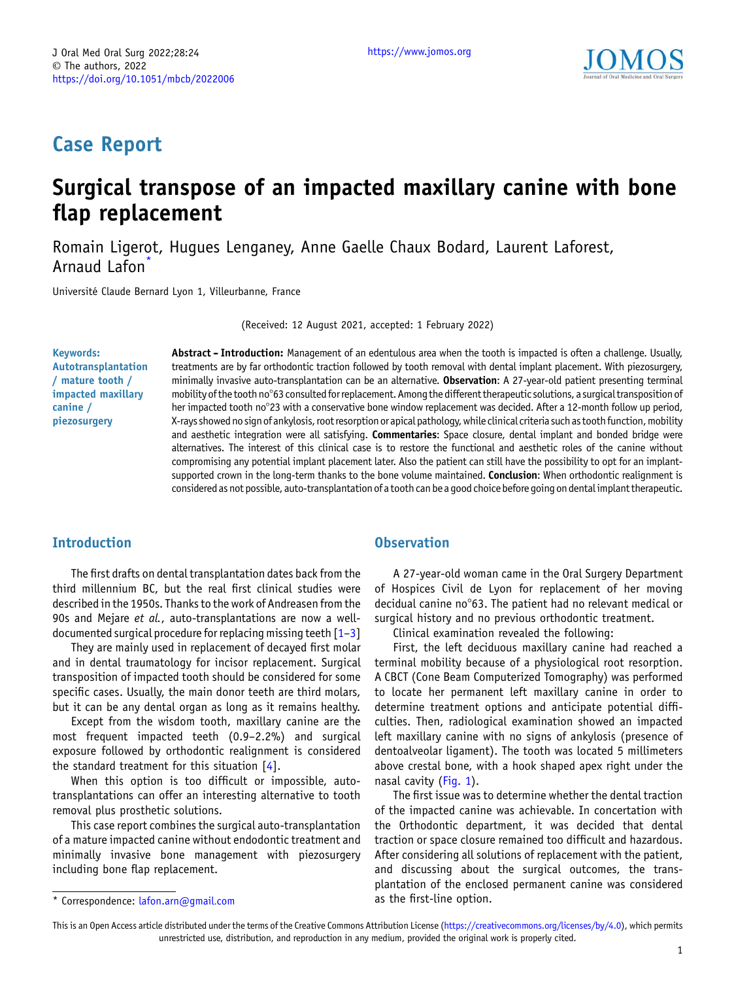

# Case Report

# Surgical transpose of an impacted maxillary canine with bone flap replacement

Romain Ligero[t, Hugues Lenganey, Anne Gaelle Chaux Bodard, Laurent Laforest,](https://orcid.org/) Arnaud Lafon<sup>\*</sup>

Université Claude Bernard Lyon 1, Villeurbanne, France

(Received: 12 August 2021, accepted: 1 February 2022)

Keywords: Autotransplantation / mature tooth / impacted maxillary canine / piezosurgery

Abstract - Introduction: Management of an edentulous area when the tooth is impacted is often a challenge. Usually, treatments are by far orthodontic traction followed by tooth removal with dental implant placement. With piezosurgery, minimally invasive auto-transplantation can be an alternative. Observation: A 27-year-old patient presenting terminal mobility of the tooth no°63 consulted for replacement. Among the different therapeutic solutions, a surgical transposition of her impacted tooth no°23 with a conservative bone window replacement was decided. After a 12-month follow up period, X-rays showed no sign ofankylosis, root resorption orapical pathology,while clinical criteria such as tooth function, mobility and aesthetic integration were all satisfying. Commentaries: Space closure, dental implant and bonded bridge were alternatives. The interest of this clinical case is to restore the functional and aesthetic roles of the canine without compromising any potential implant placement later. Also the patient can still have the possibility to opt for an implantsupported crown in the long-term thanks to the bone volume maintained. Conclusion: When orthodontic realignment is considered as not possible, auto-transplantation ofa tooth can be a good choice before going on dentalimplant therapeutic.

### Introduction

The first drafts on dental transplantation dates back from the third millennium BC, but the real first clinical studies were described in the 1950s. Thanks to the work of Andreasen from the 90s and Mejare et al., auto-transplantations are now a welldocumented surgical procedure for replacing missing teeth  $[1-3]$  $[1-3]$  $[1-3]$  $[1-3]$  $[1-3]$ 

They are mainly used in replacement of decayed first molar and in dental traumatology for incisor replacement. Surgical transposition of impacted tooth should be considered for some specific cases. Usually, the main donor teeth are third molars, but it can be any dental organ as long as it remains healthy.

Except from the wisdom tooth, maxillary canine are the most frequent impacted teeth (0.9–2.2%) and surgical exposure followed by orthodontic realignment is considered the standard treatment for this situation [[4\]](#page-4-0).

When this option is too difficult or impossible, autotransplantations can offer an interesting alternative to tooth removal plus prosthetic solutions.

This case report combines the surgical auto-transplantation of a mature impacted canine without endodontic treatment and minimally invasive bone management with piezosurgery including bone flap replacement.

### **Observation**

A 27-year-old woman came in the Oral Surgery Department of Hospices Civil de Lyon for replacement of her moving decidual canine no°63. The patient had no relevant medical or surgical history and no previous orthodontic treatment.

Clinical examination revealed the following:

First, the left deciduous maxillary canine had reached a terminal mobility because of a physiological root resorption. A CBCT (Cone Beam Computerized Tomography) was performed to locate her permanent left maxillary canine in order to determine treatment options and anticipate potential difficulties. Then, radiological examination showed an impacted left maxillary canine with no signs of ankylosis (presence of dentoalveolar ligament). The tooth was located 5 millimeters above crestal bone, with a hook shaped apex right under the nasal cavity [\(Fig. 1](#page-1-0)).

The first issue was to determine whether the dental traction of the impacted canine was achievable. In concertation with the Orthodontic department, it was decided that dental traction or space closure remained too difficult and hazardous. After considering all solutions of replacement with the patient, and discussing about the surgical outcomes, the transplantation of the enclosed permanent canine was considered

<sup>\*</sup> Correspondence: *[lafon.arn@gmail](mailto:lafon.arn@gmail;com).com* as the first-line option.

This is an Open Access article distributed under the terms of the Creative Commons Attribution License [\(https://creativecommons.org/licenses/by/4.0\)](https://creativecommons.org/licenses/by/4.0), which permits unrestricted use, distribution, and reproduction in any medium, provided the original work is properly cited.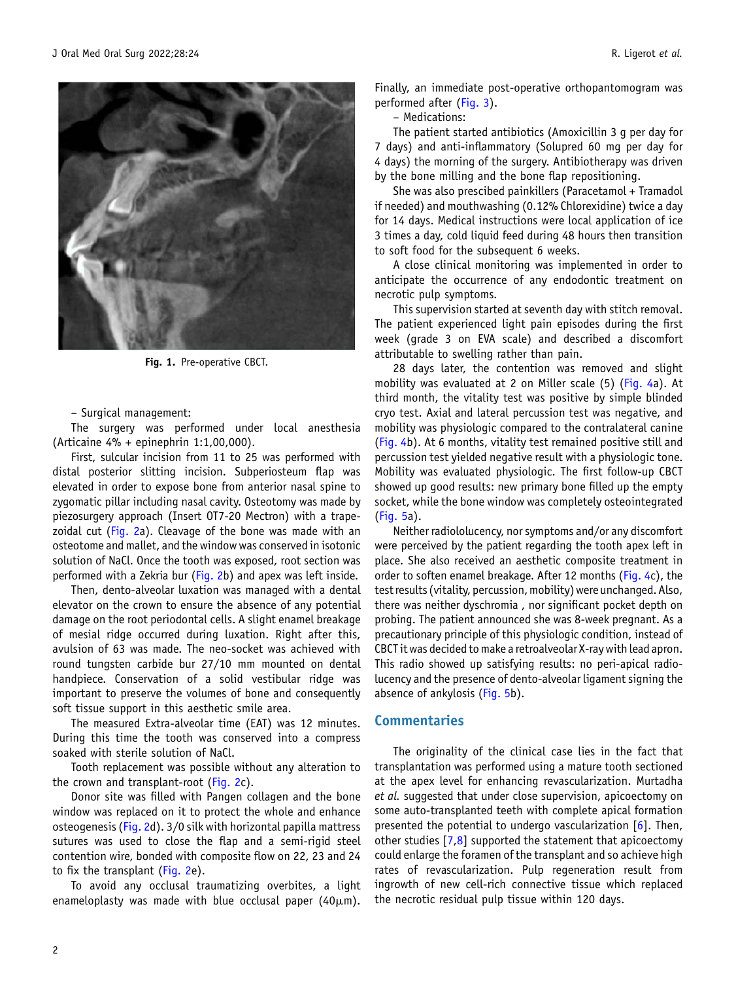<span id="page-1-0"></span>

Fig. 1. Pre-operative CBCT.

– Surgical management:

The surgery was performed under local anesthesia (Articaine 4% + epinephrin 1:1,00,000).

First, sulcular incision from 11 to 25 was performed with distal posterior slitting incision. Subperiosteum flap was elevated in order to expose bone from anterior nasal spine to zygomatic pillar including nasal cavity. Osteotomy was made by piezosurgery approach (Insert OT7-20 Mectron) with a trape-zoidal cut ([Fig. 2](#page-2-0)a). Cleavage of the bone was made with an osteotome and mallet, and the window was conserved in isotonic solution of NaCl. Once the tooth was exposed, root section was performed with a Zekria bur [\(Fig. 2b](#page-2-0)) and apex was left inside.

Then, dento-alveolar luxation was managed with a dental elevator on the crown to ensure the absence of any potential damage on the root periodontal cells. A slight enamel breakage of mesial ridge occurred during luxation. Right after this, avulsion of 63 was made. The neo-socket was achieved with round tungsten carbide bur 27/10 mm mounted on dental handpiece. Conservation of a solid vestibular ridge was important to preserve the volumes of bone and consequently soft tissue support in this aesthetic smile area.

The measured Extra-alveolar time (EAT) was 12 minutes. During this time the tooth was conserved into a compress soaked with sterile solution of NaCl.

Tooth replacement was possible without any alteration to the crown and transplant-root ([Fig. 2c](#page-2-0)).

Donor site was filled with Pangen collagen and the bone window was replaced on it to protect the whole and enhance osteogenesis ([Fig. 2](#page-2-0)d). 3/0 silk with horizontal papilla mattress sutures was used to close the flap and a semi-rigid steel contention wire, bonded with composite flow on 22, 23 and 24 to fix the transplant ([Fig. 2e](#page-2-0)).

To avoid any occlusal traumatizing overbites, a light enameloplasty was made with blue occlusal paper (40 $\mu$ m).

Finally, an immediate post-operative orthopantomogram was performed after [\(Fig. 3](#page-2-0)).

– Medications:

The patient started antibiotics (Amoxicillin 3 g per day for 7 days) and anti-inflammatory (Solupred 60 mg per day for 4 days) the morning of the surgery. Antibiotherapy was driven by the bone milling and the bone flap repositioning.

She was also prescibed painkillers (Paracetamol + Tramadol if needed) and mouthwashing (0.12% Chlorexidine) twice a day for 14 days. Medical instructions were local application of ice 3 times a day, cold liquid feed during 48 hours then transition to soft food for the subsequent 6 weeks.

A close clinical monitoring was implemented in order to anticipate the occurrence of any endodontic treatment on necrotic pulp symptoms.

This supervision started at seventh day with stitch removal. The patient experienced light pain episodes during the first week (grade 3 on EVA scale) and described a discomfort attributable to swelling rather than pain.

28 days later, the contention was removed and slight mobility was evaluated at 2 on Miller scale (5) [\(Fig. 4a](#page-3-0)). At third month, the vitality test was positive by simple blinded cryo test. Axial and lateral percussion test was negative, and mobility was physiologic compared to the contralateral canine ([Fig. 4](#page-3-0)b). At 6 months, vitality test remained positive still and percussion test yielded negative result with a physiologic tone. Mobility was evaluated physiologic. The first follow-up CBCT showed up good results: new primary bone filled up the empty socket, while the bone window was completely osteointegrated ([Fig. 5](#page-3-0)a).

Neither radiololucency, nor symptoms and/or any discomfort were perceived by the patient regarding the tooth apex left in place. She also received an aesthetic composite treatment in order to soften enamel breakage. After 12 months ([Fig. 4c](#page-3-0)), the test results (vitality, percussion, mobility) were unchanged. Also, there was neither dyschromia , nor significant pocket depth on probing. The patient announced she was 8-week pregnant. As a precautionary principle of this physiologic condition, instead of CBCT it was decided to make a retroalveolar X-ray with lead apron. This radio showed up satisfying results: no peri-apical radiolucency and the presence of dento-alveolar ligament signing the absence of ankylosis ([Fig. 5](#page-3-0)b).

#### Commentaries

The originality of the clinical case lies in the fact that transplantation was performed using a mature tooth sectioned at the apex level for enhancing revascularization. Murtadha et al. suggested that under close supervision, apicoectomy on some auto-transplanted teeth with complete apical formation presented the potential to undergo vascularization  $[6]$  $[6]$ . Then, other studies [\[7](#page-4-0),[8\]](#page-4-0) supported the statement that apicoectomy could enlarge the foramen of the transplant and so achieve high rates of revascularization. Pulp regeneration result from ingrowth of new cell-rich connective tissue which replaced the necrotic residual pulp tissue within 120 days.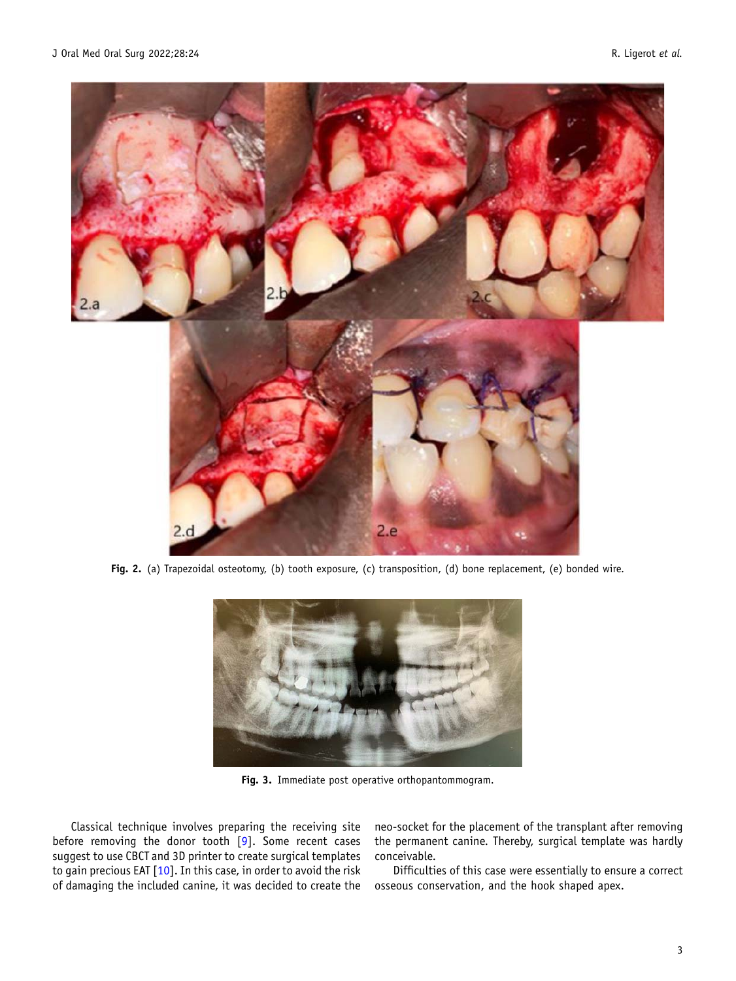<span id="page-2-0"></span>

Fig. 2. (a) Trapezoidal osteotomy, (b) tooth exposure, (c) transposition, (d) bone replacement, (e) bonded wire.



Fig. 3. Immediate post operative orthopantommogram.

Classical technique involves preparing the receiving site before removing the donor tooth [[9\]](#page-4-0). Some recent cases suggest to use CBCT and 3D printer to create surgical templates to gain precious EAT [\[10](#page-4-0)]. In this case, in order to avoid the risk of damaging the included canine, it was decided to create the

neo-socket for the placement of the transplant after removing the permanent canine. Thereby, surgical template was hardly conceivable.

Difficulties of this case were essentially to ensure a correct osseous conservation, and the hook shaped apex.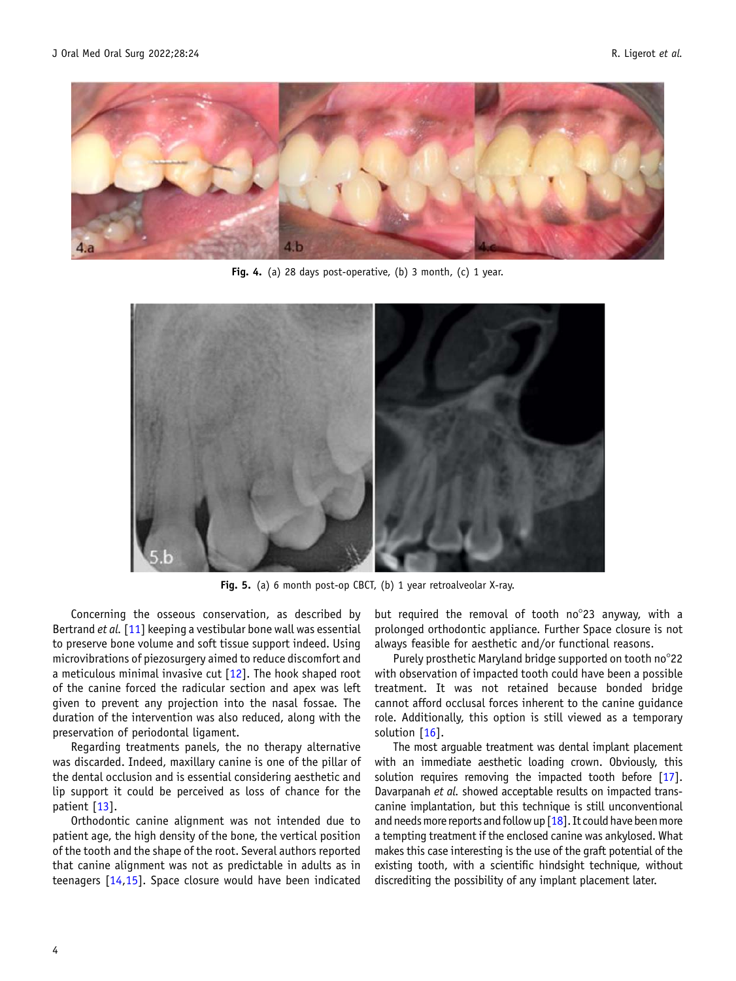<span id="page-3-0"></span>

Fig. 4. (a) 28 days post-operative, (b) 3 month, (c) 1 year.



Fig. 5. (a) 6 month post-op CBCT, (b) 1 year retroalveolar X-ray.

Concerning the osseous conservation, as described by Bertrand et al. [\[11](#page-4-0)] keeping a vestibular bone wall was essential to preserve bone volume and soft tissue support indeed. Using microvibrations of piezosurgery aimed to reduce discomfort and a meticulous minimal invasive cut  $[12]$  $[12]$ . The hook shaped root of the canine forced the radicular section and apex was left given to prevent any projection into the nasal fossae. The duration of the intervention was also reduced, along with the preservation of periodontal ligament.

Regarding treatments panels, the no therapy alternative was discarded. Indeed, maxillary canine is one of the pillar of the dental occlusion and is essential considering aesthetic and lip support it could be perceived as loss of chance for the patient [\[13](#page-4-0)].

Orthodontic canine alignment was not intended due to patient age, the high density of the bone, the vertical position of the tooth and the shape of the root. Several authors reported that canine alignment was not as predictable in adults as in teenagers [[14,15\]](#page-4-0). Space closure would have been indicated but required the removal of tooth no°23 anyway, with a prolonged orthodontic appliance. Further Space closure is not always feasible for aesthetic and/or functional reasons.

Purely prosthetic Maryland bridge supported on tooth no°22 with observation of impacted tooth could have been a possible treatment. It was not retained because bonded bridge cannot afford occlusal forces inherent to the canine guidance role. Additionally, this option is still viewed as a temporary solution [\[16](#page-4-0)].

The most arguable treatment was dental implant placement with an immediate aesthetic loading crown. Obviously, this solution requires removing the impacted tooth before [[17](#page-4-0)]. Davarpanah et al. showed acceptable results on impacted transcanine implantation, but this technique is still unconventional and needs more reports and follow up  $[18]$ . It could have been more a tempting treatment if the enclosed canine was ankylosed. What makes this case interesting is the use of the graft potential of the existing tooth, with a scientific hindsight technique, without discrediting the possibility of any implant placement later.